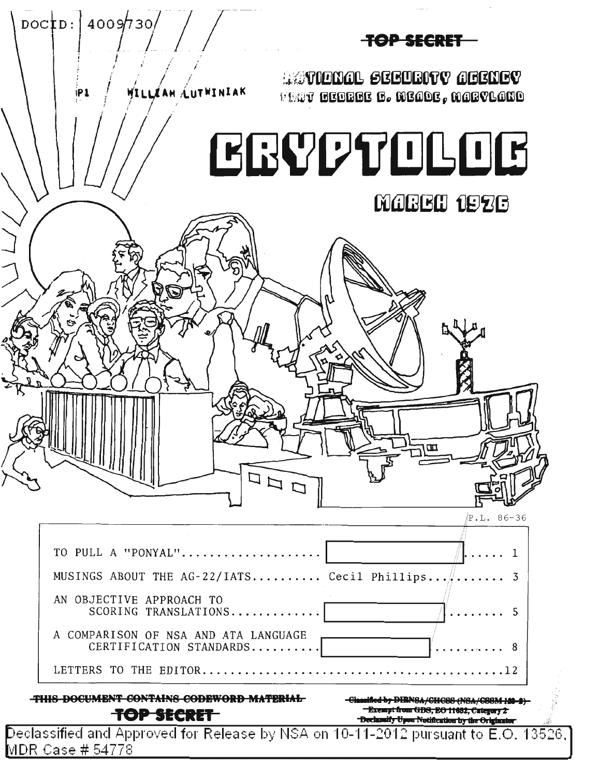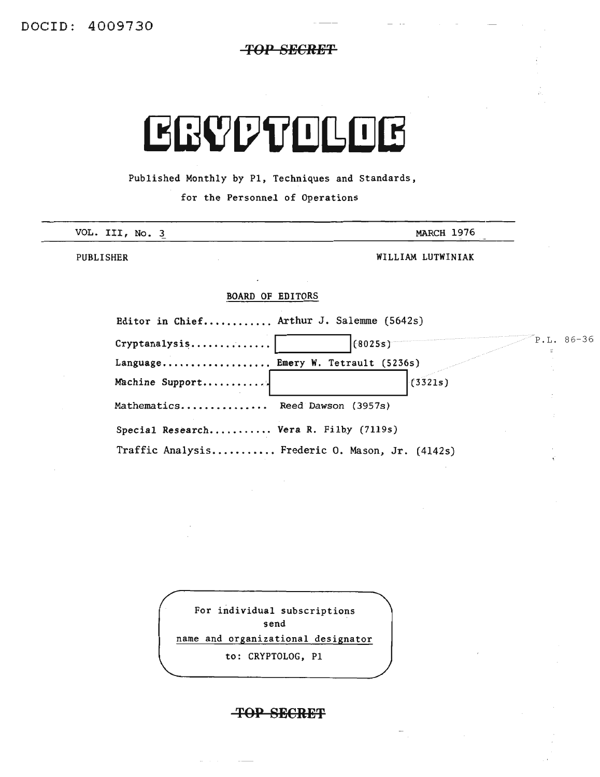# **TOP SBCRBT**

# **EGYPTELEE**

Published Monthly by PI, Techniques and Standards,

for the Personnel of Operations

| VOL. III, No. 3 | MARCH 1976        |
|-----------------|-------------------|
| PUBLISHER       | WILLIAM LUTWINIAK |

### BOARD OF EDITORS

| Editor in Chief Arthur J. Salemme (5642s)       |         |         |            |
|-------------------------------------------------|---------|---------|------------|
| $Cryptanalysis$                                 | (8025s) |         | P.L. 86-36 |
| Language Emery W. Tetrault (5236s)              |         |         |            |
| Machine Support                                 |         | (3321s) |            |
| Mathematics Reed Dawson (3957s)                 |         |         |            |
| Special Research Vera R. Filby (7119s)          |         |         |            |
| Traffic Analysis Frederic O. Mason, Jr. (4142s) |         |         |            |

For individual subscriptions send name and organizational designator to: CRYPTOLOG, PI

# **TOP SECRET**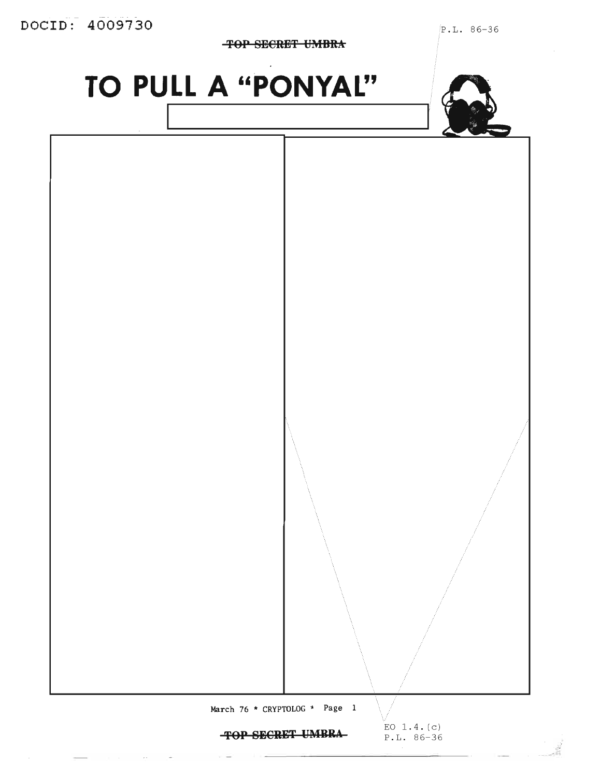**'fOP SE€RE'f UMBRA**

P.L. 86-36

**TO PULL A "PONYAL"**





March 76 \* CRYPTOLOG \* Page 1

**'fOP SECRgT YMBKA**

EO 1.4. (c) P.L. 86-36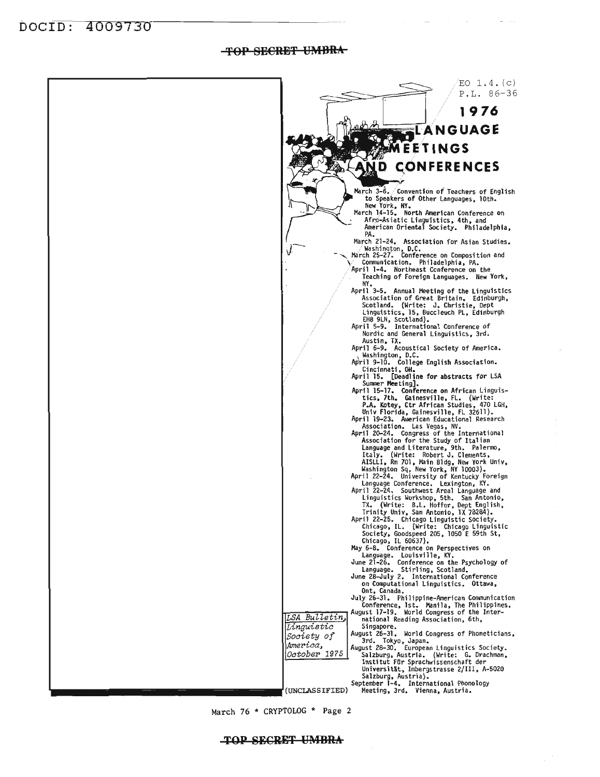**tfOP SB€RBtf UMBRA**



March 76 \* CRYPTOLOG \* Page 2

#### **TOP SECRET UMBRA**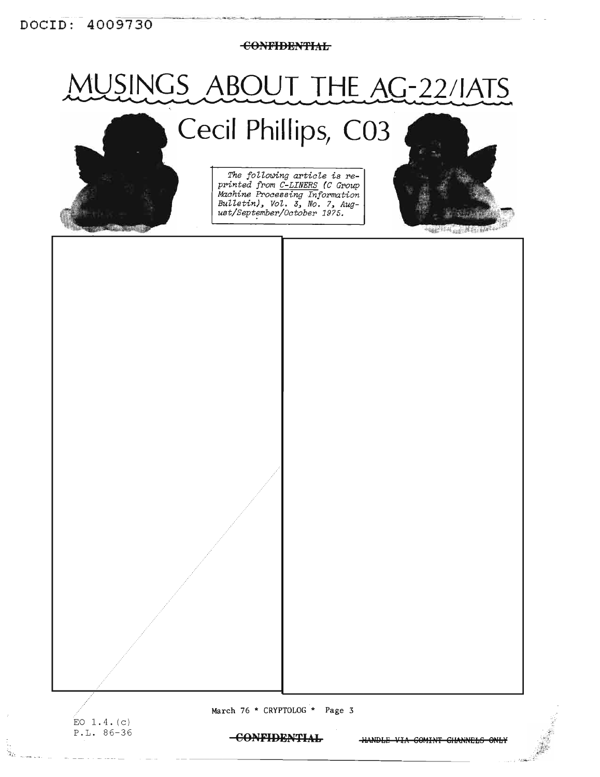<del>CONFIDENTIAL</del>

# IUSINGS ABOUT THE AC-22/IATS Cecil Phillips, C03



The following article is re-<br>printed from C-LINERS (C Group Machine Processing Information<br>Bulletin), Vol. 3, No. 7, Aug-<br>ust/September/October 1975.



.<br>Зг.

March 76 \* CRYPTOLOG \* Page 3

-CONFIDENTIAL

**HANDLE VIA COMINT CHANNELS ONLY**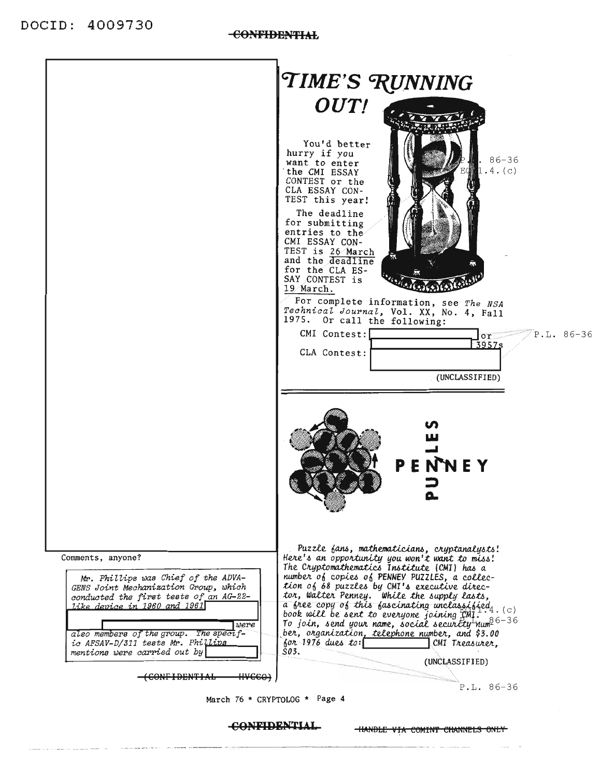

**CONFIDENTIAL** 

**HANDLE VIA COMINT CHANNELS ONLY**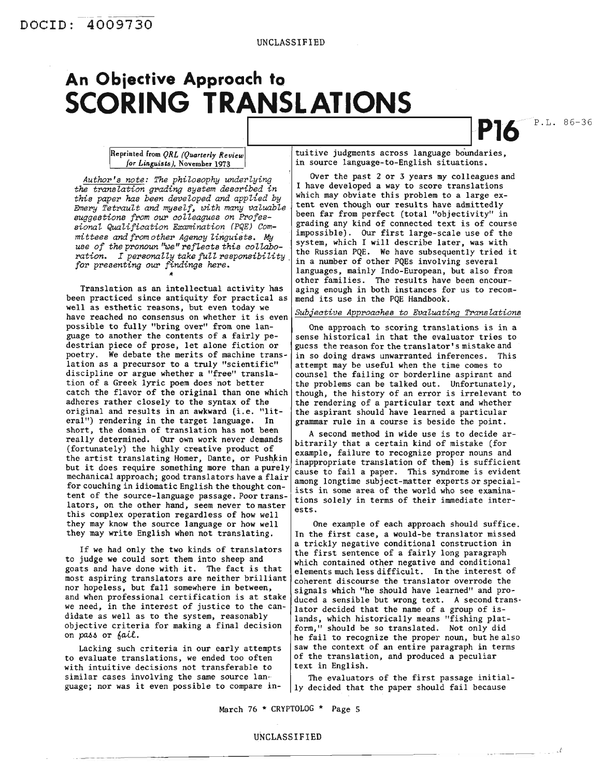# **An Objective Approach to SCORING TRANSLATIONS**

**1,--------O- IP16** P.L. 86-36

, .£

*Author's note: The philosophy underlying the translation grading system desaribed in this paper has been developed and applied by Emery Tetrault and myself, UJith many valuable suggestions from our aolleagues on Professional Qualifiaation Examination (PQE) Committees and from other Agenay Unguists.* My  $i$ use of the pronoun "we" reflects this collabo*ration. I personally take full responsibility, for presenting* our *findings here.*

Translation as an intellectual activity has been practiced since antiquity for practical as well as esthetic reasons, but even today we have reached no consensus on whether it is even possible to fully "bring over" from one language to another the contents of a fairly pedestrian piece of prose, let alone fiction or poetry. We debate the merits of machine translation as a precursor to a truly "scientific" discipline or argue whether a "free" translation of a Greek lyric poem does not better catch the flavor of the original than one which adheres rather closely to the syntax of the original and results in an awkward (i.e. "literal") rendering in the target language. In short, the domain of translation has not been really determined. Our own work never demands (fortunately) the highly creative product of the artist translating Homer, Dante, or Pushkin but it does require something more than <sup>a</sup> purely mechanical approach; good translators have a flair for couching in idiomatic English the thought content of the source-language passage. Poor translators, on the other hand, seem never to master this complex operation regardless of how well they may know the source language or how well they may write English when not translating.

If we had only the two kinds of translators to judge we could sort them into sheep and goats and have done with it. The fact is that most aspiring translators are neither brilliant nor hopeless, but fall somewhere in between, and when professional certification is at stake we need, in the interest of justice to the candidate as well as to the system, reasonably objective criteria for making a final decision on *pM....* or *6a.U..*

Lacking such criteria in our early attempts to evaluate translations, we ended too often with intuitive decisions not transferable to similar cases involving the same source Ian·· guage; nor was it even possible to compare in-

*Reprinted from QRL (Quarterly Review*)  $\vert$  tuitive judgments across language boundaries, *for Linguists)*, November 1973 **in** source language-to-English situations.

> Over the past 2 or 3 years my colleagues and I have developed a way to score translations which may obviate this problem to a large extent even though our results have admittedly been far from perfect (total "objectivity" in grading any kind of connected text is of course impossible). Our first large-scale use of the system, which I will describe later, was with the Russian PQE. We have subsequently tried it in a number of other PQEs involving several languages, mainly Indo-European, but also from other families. The results have been encouraging enough in both instances for us to recommend its use in the PQE Handbook.

#### *Subjeative Approaahes to Evaluating Translations*

One approach to scoring translations is in a sense historical in that the evaluator tries to guess the reason for the translator's mistake and in so doing draws unwarranted inferences. This attempt may be useful when the time comes to counsel the failing or borderline aspirant and the problems can be talked out. Unfortunately, though, the history of an error is irrelevant to the rendering of a particular text and whether the aspirant should have learned a particular grammar rule in a course is beside the point.

A second method in wide use is to decide arbitrarily that a certain kind of mistake (for example, failure to recognize proper nouns and inappropriate translation of them) is sufficient cause to fail a paper. This syndrome is evident among longtime subject-matter experts or specialists in some area of the world who see examinations solely in terms of their immediate interests.

One example of each approach should suffice. In the first case, a would-be translator missed a trickly negative conditional construction in the first sentence of a fairly long paragraph which contained other negative and conditional elements much less difficult. In the interest of coherent discourse the translator overrode the signals.which "he should have learned" and produced a sensible but wrong text. A second translator decided that the name of a group of islands, which historically means "fishing platform," should be so translated. Not only did he fail to recognize the proper noun, but he also saw the context of an entire paragraph in terms of the translation, and produced a peculiar text in English.

The evaluators of the first passage initially decided that the paper should fail because

March 76 \* CRYPTOLOG \* Page 5

#### UNCLASSIFIED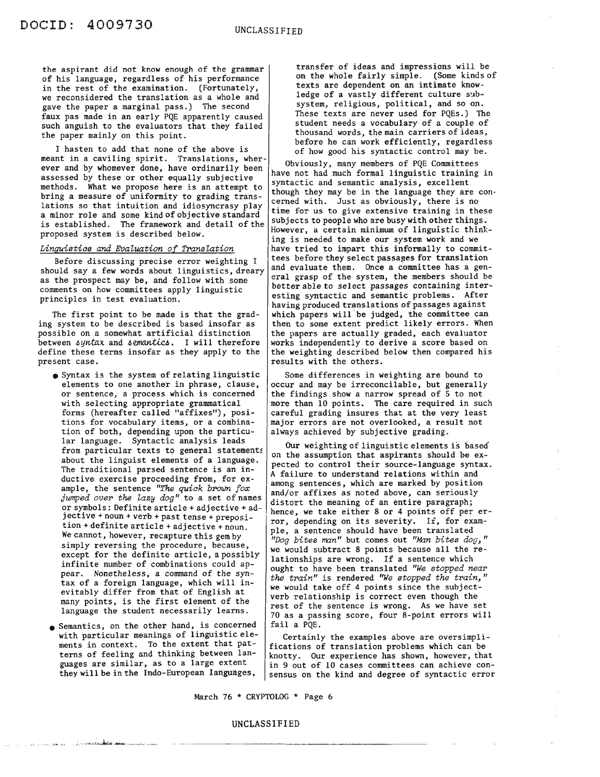the aspirant did not know enough of the grammar of his language, regardless of his performance in the rest of the examination. (Fortunately, we reconsidered the translation as a whole and gave the paper a marginal pass.) The second faux pas made in an early PQE apparently caused such anguish to the evaluators that they failed the paper mainly on this point.

I hasten to add that none of the above is meant in a caviling spirit. Translations, wherever and by whomever done, have ordinarily been assessed by these or other equally subjective methods. What we propose here is an attempt to bring a measure of uniformity to grading translations so that intuition and idiosyncrasy play <sup>a</sup> minor role and some kind of objective standard is established. The framework and detail of the proposed system is described below.

#### *Linguistias and Evaluation of Translation*

Before discussing precise error weighting I should say a few words about linguistics, dreary as the prospect may be, and follow with some comments on how committees apply linguistic principles in test evaluation.

The first point to be made is that the grading system to be described is based insofar as possible on a somewhat artificial distinction between syntax and semantics. I will therefore define these terms insofar as they apply to the present case .

- Syntax is the system of relating linguistic elements to one another in phrase, clause, or sentence, a process which is concerned with selecting appropriate grammatical forms (hereafter called "affixes"), positions for vocabulary items, or a combination of both, depending upon the particular language. Syntactic analysis leads from particular texts to general statements about the linguist elements of a language. The traditional parsed sentence is an inductive exercise proceeding from, for example, the sentence *"The quiak brown fox jwrrped over the lazy dog"* to a set of names or symbols: Definite article <sup>+</sup> adjective <sup>+</sup> adjective <sup>+</sup> noun <sup>+</sup> verb <sup>+</sup> past tense <sup>+</sup> preposition <sup>+</sup> definite article <sup>+</sup> adjective <sup>+</sup> noun. We cannot, however, recapture this gem by simply reversing the procedure, because, except for the definite article, a possibly infinite number of combinations could appear. Nonetheless, a command of the syntax of a foreign language, which will inevitably differ from that of English at many points, is the first element of the language the student necessarily learns.
- Semantics, on the other hand, is concerned with particular meanings of linguistic elements in context. To the extent that patterns of feeling and thinking between languages are similar, as to a large extent they will be in the Indo-European languages,

transfer of ideas and impressions will be on the whole fairly simple. (Some kinds of texts are dependent on an intimate knowledge of a vastly different culture subsystem, religious, political, and so on. These texts are never used for PQEs.) The student needs a vocabulary of a couple of thousand words, the main carriers of ideas, before he can work efficiently, regardless of how good his syntactic control may be.

Obviously, many members of PQE Committees have not had much formal linguistic training in syntactic and semantic analysis, excellent though they may be in the language they are con· cerned with. Just as obviously, there is no time for us to give extensive training in these subjects to people who are busy with other things. However, a certain minimum of linguistic thin~ ing is needed to make our system work and we have tried to impart this informally to committees before they select passages for translation and evaluate them. Once a committee has a general grasp of the system, the members should be better able to select passages containing interesting syntactic and semantic problems. After having produced translations of passages against which papers will be judged, the committee can then to some extent predict likely errors. When the papers are actually graded, each evaluator works independently to derive a score based on the weighting described below then compared his results with the others.

Some differences in weighting are bound to occur and may be irreconcilable, but generally the findings show a narrow spread of 5 to not more than 10 points. The care required in such careful grading insures that at the very least major errors are not overlooked, a result not always achieved by subjective grading.

Our weighting of linguistic elements is based on the assumption that aspirants should be expected to control their source-language syntax. A failure to understand relations within and among sentences, which are marked by position and/or affixes as noted above, can seriously distort the meaning of an entire paragraph; hence, we take either 8 or 4 points off per error, depending on its severity. If, for exam-<br>ple, a sentence should have been translated *"Dog bites man"* but comes out *"Man bites dO[h"* we would subtract 8 points because all the relationships are wrong. If a sentence which ought to have been translated *"We stopped near the train"* is rendered *"We stopped the train,"* we would take off 4 points since the subjectverb relationship is correct even though the rest of the sentence is wrong. As we have set 70 as a passing score, four 8-point errors will fail a PQE .

Certainly the examples above are oversimplifications of translation problems which can be knotty. Our experience has shown, however, that in <sup>9</sup> out of <sup>10</sup> cases committees can achieve con- sensus on the kind and degree of syntactic error

March 76 \* CRYPTOLOG \* Page 6

#### UNCLASSIFIED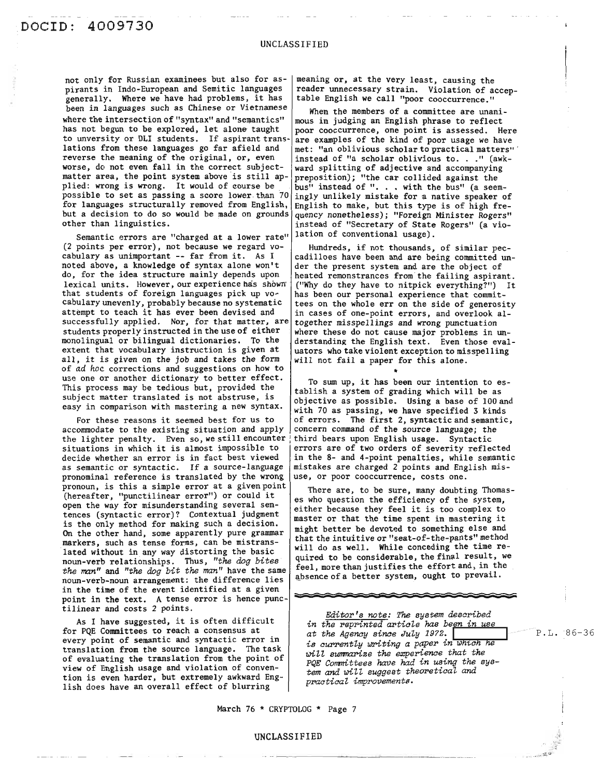not only for Russian examinees but also for as- | meaning or, at the very least, causing the pirants in Indo-European and Semitic languages | reader unnecessary strain. Violation of accepgenerally. Where we have had problems, it has  $\vert$  table English we call "poor cooccurrence." been in languages such as Chinese or Vietnamese  $\vert$  When the members of a committee are unaniwhere the intersection of "syntax" and "semantics"  $\vert$  mous in judging an English phrase to reflect has not begun to be explored, let alone taught  $|$  poor cooccurrence, one point is assessed. Here to unversity or DLI students. If aspirant trans- are examples of the kind of poor usage we have<br>lations from these languages go far afield and met: "an oblivious scholar to practical matters" lations from these languages go far afield and  $\vert$  met: "an oblivious scholar to practical matters" . reverse the meaning of the original, or, even  $\vert$  instead of "a scholar oblivious to. . ." (awkworse, do not even fall in the correct subject- ward splitting of adjective and accompanying matter area, the point system above is still ap-<br>preposition); "the car collided against the<br>plied: wrong is wrong. It would of course be... bus" instead of "... with the bus" (a seemplied: wrong is wrong. It would of course be  $\begin{array}{c|c}$  bus<sup>n</sup> instead of "... with the bus" (a seem-<br>possible to set as passing a score lower than 70 ingly unlikely mistake for a native speaker of for languages structurally removed from English, English to make, but this type is of high frebut a decision to do so would be made on grounds quency nonetheless); "Foreign Minister Rogers"

Semantic errors are "charged at a lower rate" lation of conventional usage). (2 points per error), not because we regard vo-<br>cabulary as unimportant -- far from it. As I cadilloes have been and are being committed un noted above, a knowledge of syntax alone won't  $\vert$  der the present system and are the object of do, for the idea structure mainly depends upon heated remonstrances from the failing aspirant. lexical units. However, our experience has shown | ("Why do they have to nitpick everything?") It that students of foreign languages pick up vo- has been our personal experience that commitcabulary unevenly, probably because no systematic  $\vert$  tees on the whole err on the side of generosity attempt to teach it has ever been devised and  $\vert$  in cases of one-point errors, and overlook alsuccessfully applied. Nor, for that matter, are together misspellings and wrong punctuation students properly instructed in the use of either where these do not cause major problems in unmonolingual or bilingual dictionaries. To the derstanding the English text. Even those evalextent that vocabulary instruction is given at  $\begin{array}{|l|l|}\n\hline\nat\times\end{array}$  uators who take violent exception to misspelling all, it is given on the job and takes the form  $\begin{array}{|l|l|}\n\hline\n\end{array}$  will not fail a paper for t all, it is given on the job and takes the form of *ad* hoc corrections and suggestions on how to \* use one or another dictionary to better effect.<br>To sum up, it has been our intention to es-This process may be tedious but, provided the  $\vert$  tablish a system of grading which will be as subject matter translated is not abstruse, is objective as possible. Using a base of 100 and

in the time of the event identified at a given<br>point in the text. A tense error is hence punctilinear and costs 2 points. accommodate to the existing situation and apply concern command of the source language; the the lighter penalty. Even so, we still encounter third bears upon English usage. Syntactic situations in which it is almost impossible to errors are of two orders of severity reflee decide whether an error is in fact best viewed  $\vert$  in the 8- and 4-point penalties, while semantic as semantic or syntactic. If a source-language  $|$  mistakes are charged 2 points and English mispronominal reference is translated by the wrong  $|$  use, or poor cooccurrence, costs one. pronoun, is this a simple error at a given point  $\left| \right|$  There are, to be sure, many doubting Thomas-(hereafter, "punctilinear error") or could it  $\begin{vmatrix} \text{inter} & \text{are} & \text{to} & \text{be} & \text{sure} \\ \text{es} & \text{who question the efficiency of the system.} \end{vmatrix}$ open the way for misunderstanding several sen-<br>tences (syntactic error)? Contextual judgment<br>meteor a character because they feel it is too complex to It is the only method for making such a decision.  $\begin{bmatrix} \text{max}} \text{matrix} & \text{min}} \text{matrix} & \text{min} \text{matrix} \\ \text{min} \text{matrix} & \text{min} \text{matrix} \end{bmatrix}$ markers, such as tense forms, can be mistrans- will do as well. While conceding the time re-<br>lated without in any way distanting the basic will do as well. While conceding the time related without in any way distorting the basic  $\begin{bmatrix} 1 & 0 & 0 & 0 \\ 0 & 0 & 0 & 0 \\ 0 & 0 & 0 & 0 \end{bmatrix}$  and the considerable, the final result, we lated without in any way distorting the basic<br>noun-verb relationships. Thus, "the dog bites" quired to be considerable, the final result, we<br>the man" and "the dog bit the man" have the same feel, more than justifies the e

As <sup>I</sup> have suggested, it is often difficult for PQE Committees to reach a consensus at every point of semantic and syntactic error in translation from the source language. The task of evaluating the translation from the point of view of English usage and violation of convention is even harder, but extremely awkward English does have an overall effect of blurring

other than linguistics. instead of "Secretary of State Rogers" (a vio-

cadilloes have been and are being committed un-

easy in comparison with mastering a new syntax.  $\begin{bmatrix} 6 & 3 & 1 \\ 1 & 70 & 15 \\ 1 & 10 & 3 \\ 1 & 10 & 10 \\ 1 & 10 & 10 \\ 1 & 10 & 10 \\ 1 & 10 & 10 \\ 1 & 10 & 10 \\ 1 & 10 & 10 \\ 1 & 10 & 10 \\ 1 & 10 & 10 \\ 1 & 10 & 10 \\ 1 & 10 & 10 \\ 1 & 10 & 10 \\ 1 & 10 & 10 \\ 1 &$ For these reasons it seemed best for us to  $\int$  of errors. The first 2, syntactic and semantic, errors are of two orders of severity reflected

> master or that the time spent in mastering it that the intuitive or "seat-of-the-pants" method

> > **R:-=;O=;;=**

*Editor's note: The system described in the reprinted article has been in use at the Agency since July* 1972. **I** *is currently writing a paper in which he will sumnarize the experience that the PQE Corrrnittees have had in using the* sys*tem and will suggest theoretical and*  $practical$  *improvements.* 

March 76 \* CRYPTOLOG \* Page 7

# UNCLASSIFIED -----------------------.

P.L. 86-36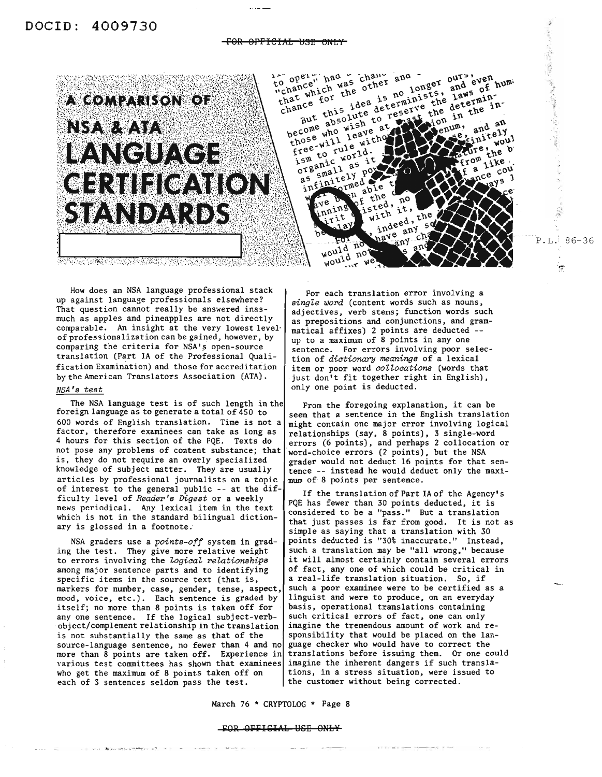#### FOR OFFICIAL USE ONLY



How does an NSA language professional stack up against language professionals elsewhere? That question cannot really be answered inasmuch as apples and pineapples are not directly comparable. An insight at the very lowest level' of professionalization can be gained, however, by comparing the criteria for NSA's open-source translation (Part IA of the Professional Qualification Examination) and those for accreditation by the American Translators Association (ATA).

## *NSA's test*

The NSA language test is of such length in the foreign language as to generate a total of 450 to <sup>600</sup> words of English translation. Time is not <sup>a</sup> factor, therefore examinees can take as long as 4 hours for this section of the PQE. Texts do not pose any problems of content substance; that is, they do not require an overly specialized knowledge of subject matter. They are usually articles by professional journalists on a topic of interest to the general public -- at the difficulty level of *Reader's Digest* or a weekly news periodical. Any lexical item in the text which is not in the standard bilingual dictionary is glossed in a footnote;

NSA graders use a *points-off* system in grading the test. They give more relative weight to errors involving the *ZogiaaZ relationships* among major sentence parts and to identifying specific items in the source text (that is, markers for number, case, gender, tense, aspect, mood, voice, etc.). Each sentence is graded by itself; no more than 8 points is taken off for anyone sentence. If the logical subject-verbobject/complement relationship in the translation is not substantially the same as that of the source-language sentence, no fewer than 4 and no more than 8 points are taken off. Experience in various test committees has shown that examinees who get the maximum of <sup>8</sup> points taken off on each of <sup>3</sup> sentences seldom pass the test.

For each translation error involving a *single word* (content words such as nouns, adjectives, verb stems; function words such as prepositions and conjunctions, and grammatical affixes) 2 points are deducted - up to a maximum of 8 points in anyone sentence. For errors involving poor selection of *dictionary meanings* of a lexical item or poor word *aoZZoaations* (words that just don't fit together right in English), only one point is deducted.

From the foregoing explanation, it can be seen that <sup>a</sup> sentence in the English translation might contain one major error involving logical relationships (say, 8 points), 3 single-word errors (6 points), and perhaps 2 collocation or word-choice errors (2 points), but the NSA grader would not deduct <sup>16</sup> points for that sen- tence -- instead he would deduct only the maxi mum of 8 points per sentence.

If the translation of Part IA of the Agency's PQE has fewer than <sup>30</sup> points deducted, it is considered to be a "pass." But a translation that just passes is far from good. It is not as simple as saying that a translation with 30 points deducted is "30% inaccurate." Instead, such a translation may be "all wrong," because it will almost certainly contain several errors of fact, anyone of which could be critical in <sup>a</sup> real-life translation situation. So, if such a poor examinee were to be certified as a linguist and were to produce, on an everyday basis, operational translations containing such critical errors of fact, one can only imagine the tremendous amount of work and responsibility that would be placed on the language checker who would have to correct the translations before issuing them. Or one could imagine the inherent dangers if such translations, in a stress situation, were issued to the customer without being corrected.

March 76 \* CRYPTOLOG \* Page 8

#### FOR OFFICIAL USE ONLY

 $P.L. 86-36$ 

 $\sigma$ 

.'.:.

 $\frac{1}{2}$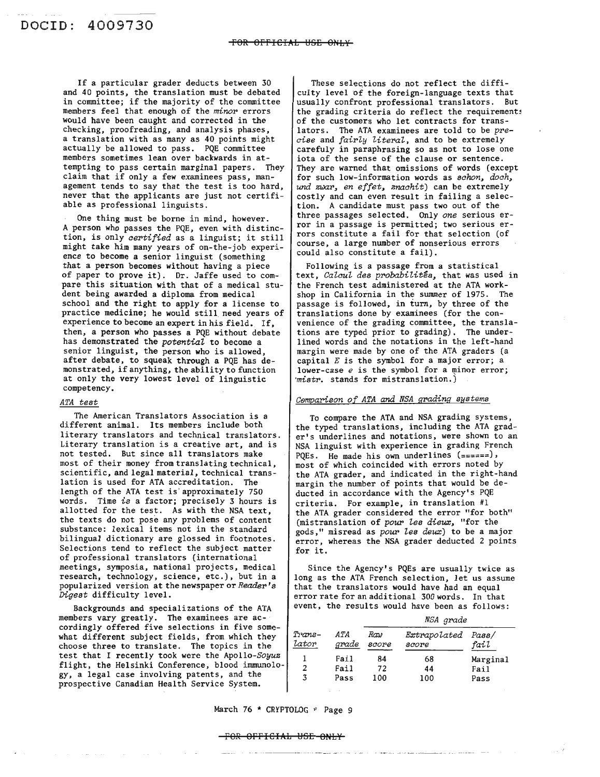If a particular grader deducts between 30 and 40 points, the translation must be debated in committee; if the majority of the committee members feel that enough of the *minor* errors would have been caught and corrected in the checking, proofreading, and analysis phases, a translation with as many as 40 points might actually be allowed to pass. PQE committee members sometimes lean over backwards in attempting to pass certain marginal papers. They claim that if only <sup>a</sup> few examinees pass, management tends to say that the test is too hard, never that the applicants are just not certifiable as professional linguists.

One thing must be borne in mind, however. A person who passes the PQE, even with distinction, is only *certified* as <sup>a</sup> linguist; it still might take him many years of on-the-job experience to become a senior linguist (something that a person becomes without having a piece of paper to prove it). Dr. Jaffe used to compare this situation with that of a medical student being awarded a diploma from medical school and the right to apply for a license to practice medicine; he would still need years of experience to become an expert in his field. If, then, a person who passes a PQE without debate has demonstrated the *potential* to become a senior linguist, the person who is allowed, after debate, to squeak through a PQE has demonstrated, if anything, the ability to function at only the very lowest level of linguistic competency.

### *ATA test*

The American Translators Association is a different animal. Its members include both literary translators and technical translators. Literary translation is a creative art, and is not tested. But since all translators make most of their money from translating technical, scientific, and legal material, technical translation is used for ATA accreditation. The length of the ATA test is' approximately 750 words. Time is a factor; precisely 3 hours is allotted for the test. As with the NSA text, the texts do not pose any problems of content substance: lexical items not in the standard bilingual dictionary are glossed in footnotes. Selections tend to reflect the subject matter of professional translators (international meetings, symposia, national projects, medical research, technology, science, etc.), but in a popularized version at the newspaper or *Reader's Digest* difficulty level.

Backgrounds and specializations of the ATA members vary greatly. The examinees are accordingly offered five selections in five somewhat different subject fields, from which they choose three to translate. The topics in the test that I recently took were the *Apollo-Soyuz* flight, the Helsinki Conference, blood immunology, a legal case involving patents, and the prospective Canadian Health Service System.

These selections do not reflect the difficulty level of the foreign-language texts that usually confront professional translators. But the grading criteria do reflect the requirements of the customers who let contracts for translators. The ATA examinees are told to be pre*cise* and *fairly literal,* and to be extremely carefuly in paraphrasing so as not to lose one iota of the sense of the clause or sentence. They are warned that omissions of words (except for such low-information words as *schon, doch,* una zwar, *en effet, znachit)* can be extremely costly and can even result in failing a selection. A candidate must pass two out of the three passages selected. Only *one* serious error in a passage is permitted; two serious errors constitute a fail for that selection (of course, a large number of nonserious errors could also constitute a fail).

Following is a passage from a statistical text, *Calcul des probabilités*, that was used in the French test administered at the ATA workshop in California in the summer of 1975. The passage is followed, in turn, by three of the translations done by examinees (for the convenience of the grading committee, the translations are typed prior to grading). The underlined words and the notations in the left-hand margin were made by one of the ATA graders (a capital *E* is the symbol for a major error; a lower-case  $e$  is the symbol for a minor error; *'mistr.* stands for mistranslation.)

#### *Cemparison of ATA and NSA grading* systems

To compare the ATA and NSA grading systems, the typed translations, including the ATA grader's underlines and notations, were shown to an NSA linguist with experience in grading French PQEs. He made his own underlines (======), most of which coincided with errors noted by the ATA grader, and indicated in the right-hand margin the number of points that would be deducted in accordance with the Agency's PQE criteria. For example, in translation #1 the ATA grader considered the error "for both" (mistranslation of *pour les dieux,* "for the gods," misread as *pour les deux)* to be a major error, whereas the NSA grader deducted 2 points for it.

Since the Agency's PQEs are usually twice as long as the ATA French selection, let us assume that the translators would have had an equal error rate for an additional 300 words. In that event, the results would have been as follows:

| Trans-<br>lator |               | NSA grade    |                             |             |
|-----------------|---------------|--------------|-----------------------------|-------------|
|                 | A TA<br>grade | Raw<br>score | Extrapolated Pass/<br>score | fail        |
|                 | Fail          | 84           | 68                          | Marginal    |
| 2               | Fail          | 72           | 44                          | <b>Fail</b> |
| 3               | Pass          | 100          | 100                         | Pass        |

March 76 \* CRYPTOLOG \* Page 9

#### F8R OFFICIAh MSE ONhY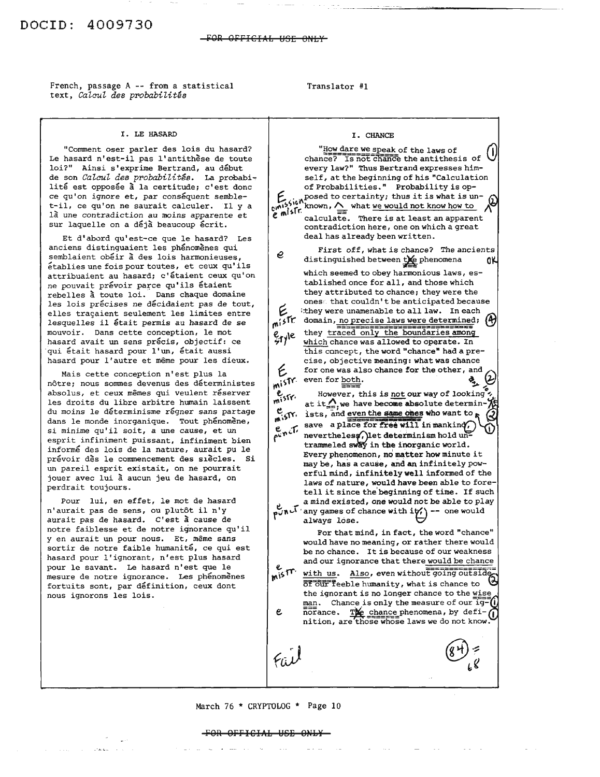French, passage A -- from a statistical text, *Calcul des probabilites*

#### Translator #1

#### I. LE HA5ARD

"Comment oser parler des lois du hasard? Le hasard n'est-il pas l'antithèse de toute loi?" Ainsi s'exprime Bertrand, au début de son *Calcul des probabilites.* La probabi., lité est opposée à la certitude; c'est donc ce qu'on ignore et, par conséquent semblet-il, ce qu'on ne saurait calculer. II y a 1à une contradiction au moins apparente et sur laquelle on a déjà beaucoup écrit.

Et d'abord qu'est-ce que Ie hasard? Les anciens distinguaient les phénomènes qui semblaient obéir à des lois harmonieuses, etablies une fois pour toutes, et ceux qu' ils attribuaient au hasard; c'étaient ceux qu'on ne pouvait prévoir parce qu'ils étaient rebelles à toute loi. Dans chaque domaine les lois précises ne décidaient pas de tout, elles tragaient seulement les limites entre lesquelles il était permis au hasard de se mouvoir. Dans cette conception, Ie mot hasard avait un sens précis, objectif: ce qui était hasard pour l'un, était aussi hasard pour l'autre et même pour les dieux.

Mais cette conception n'est plus la nôtre; nous sommes devenus des déterministes absolus, et ceux mêmes qui veulent réserver les droits du libre arbitre humain laissent du moins le déterminisme régner sans partage dans le monde inorganique. Tout phénomène, si minime qu'il soit, <sup>a</sup> une cause, et un esprit infiniment puissant, infiniment bien informe des lois de la nature, aurait pu Ie prévoir dès le commencement des siècles. Si un pareil esprit existait, on ne pourrait jouer avec lui à aucun jeu de hasard, on perdrait toujours.

Pour lui, en effet, Ie mot de hasard n'aurait pas de sens, ou plutôt il n'y aurait pas de hasard. C'est a cause de notre faiblesse et de notre ignorance qu'il y en aurait un pour nous. Et, même sans sortir de notre faible humanité, ce qui est hasard pour l'ignorant, n'est plus hasard pour Ie savant. Le hasard n'est que Ie mesure de notre ignorance. Les phénomènes fortuits sont, par définition, ceux dont nous ignorons les lois.

I. CHANCE "How dare we speak of the laws of chance? Is not chance the antithesis of every law?" Thus Bertrand expresses himself, at the beginning of his "Calculation of Probabilities." Probability is op  $f_{\text{15}}$ , posed to certainty; thus it is what is un $t_{\text{cm}}^{15}$  (i) known,  $\triangle$  what we would not know how to  $\triangle^{\text{th}}$  $e^{m\int s\Gamma}$  calculate. There is at least an apparent contradiction here, one on which a great deal has already been written. First off, what is chance? The ancients *e* distinguished between  $\frac{1}{2}$ e phenomena  $\frac{1}{2}$ which seemed to obey harmonious laws, established once for all, and those which they attributed to chance; they were the ones' that couldn't be anticipated because E they were unamenable to all law. In each  $\frac{1}{2}$ domain, no precise laws were determined;  $\left(\frac{1}{2}\right)$ they traced only the boundaries among e<sub>ryl</sub>e which chance was allowed to operate. In this concept, the word "chance" had a precise, objective meaning: what was chance for one was also chance for the other, and E wish? even for both.<br>
wish? even for both.<br>
e<sub>rec</sub> However, this is not our way of looking e<br>mistr. at it $\bigwedge_{i=1}^{\infty}$  we have become absolute determin- $\frac{c}{m}$ ; ists, and even the same ones who want to  $\kappa$ save a place for free will in manking nevertheless, let determinism hold un trammeled sway in the inorganic world. Every phenomenon, no matter how minute it may be, has a cause, and an infinitely powerful mind, infinitely well informed of the laws of nature, would have been able to foretell it since the'beginning of time. If such a mind existed, one would not be able to play f~.,.~:r, any games of chance with iit,'\ -- one would always lose. bI For that mind, in fact, the word "chance" would have no meaning, or rather there would be no chance. It is because of our weakness and our ignorance that there would be chance  $m^{15}$ <sup>IT</sup> with us. Also, even without going outside.  $\overline{\text{off}}$  our  $\overline{\text{depth}}$  and  $\overline{\text{then}}$  and  $\overline{\text{then}}$  and  $\overline{\text{then}}$ the ignorant is no longer chance to the wise man. Chance is only the measure of our ig-(i) norance.  $\frac{m}{2}$  chance phenomena, by defie nition, are those whose laws we do not know.

#### March 76 \* CRYPTOLOG \* Page 10

#### POR OFFICIAL USE ONLY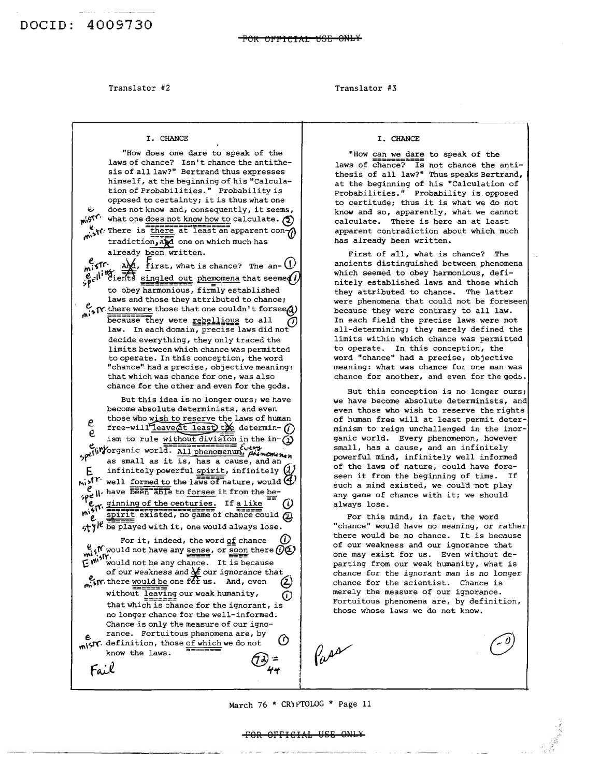#### Translator #2

#### Translator #3

#### I. CHANCE

e e. "How does one dare to speak of the laws of chance? Isn't chance the antithesis of all law?" Bertrand thus expresses himself, at the beginning of his "Calculation of Probabilities." *Probability* is opposed to certainty; it is thus what one does not know and, consequently, it seems,  $m^{51}$  what one does not know how to calculate.  $\textcircled{1}$  $\frac{a}{\sin \theta}$ , There is  $\frac{1}{\sin \theta}$  at least an apparent con $\frac{a}{\cos \theta}$  $\text{tradiction, }$  one on which much has already been written.  $\sqrt{f}$ ,  $\frac{\Delta M}{2}$ , first, what is chance? The an-  $\bigcup$  $\frac{1}{2}$  $\frac{1}{2}$  in  $\frac{1}{2}$  ients singled out phemomena that seemed) to obey harmonious, firmly established laws and those they attributed to chance;  $\frac{v}{\sqrt{n}}$ . there were those that one couldn't forsee. because they were rebellious to all law. In each domain, precise laws did not decide everything, they only traced the limits between which chance was permitted to operate. In this conception, the word "chance" had a precise, objective meaning: that which was chance for one, was also chance for the other and even for the gods. But this idea is no longer ours; we have become absolute determinists, and even those who wish to reserve the laws of human free-will<sup>I</sup>leave at least the determin- (i) ism to rule without division in the in- $\Omega$  $e_{\text{ii}}$   $v_{\text{0}}$  . The Every . It is the  $e_{\text{iii}}$   $\epsilon_{\text{iv}}$ flit/organic world. All phenomenum, future ...<br>P<sup>ot</sup> as small as it is, has a cause, and an as small as it is, has a cause, and an infinitely powerful spirit, infinitely  $Q$  $m_i$ ;  $T^r$  well formed to the laws of nature, would  $Q$  $\ell$  ii. have  $\frac{1}{5660}$  and the forsee it from the be $r^1$ e<sub>r</sub>, ginning of the centuries. If a like<br> $m_2^{10}$ .  $m_3^{10}$  $\frac{\text{split}}{\text{split}}$  existed, no game of chance could  $\omega$  $\mathbf{H}^{\text{sym}}$  be played with it, one would always lose. For it, indeed, the word of chance  $e_i$ ,  $f'$  would not have any sense, or soon there  $\widehat{O}(\widehat{Q})$ <br> $\widehat{F}$   $\stackrel{\text{asym}}{\sim}$   $\widehat{F}$  would not be any chance. It is because of our weakness and **M** our *ignorance* that<br>there <u>would be</u> one for us. And, even  $\frac{1}{\sqrt{2}}$  is it. there would be one for us. And, even without leaving our weak humanity,  $\widehat{I}$ that which is chance for the ignorant, is no longer chance for the well-informed. Chance is only the measure of our *igno*rance. Fortuitous phenomena are, by  $\text{MST}$ . definition, those of which we do not know the laws.<br>Fail

#### I. CHANCE

"How can we dare to speak of the laws of chance? Is not chance the antithesis of all law?" Thus speaks Bertrand, at the beginning of his "Calculation of Probabilities." Probability is opposed to certitude; thus it is what we do not know and so, apparently, what we cannot calculate. There is here an at least apparent contradiction about which much has already been written.

First of all, what is chance? The ancients distinguished between phenomena which seemed to obey harmonious, definitely established laws and those which they attributed to chance. The latter were phenomena that could not be foreseen because they were contrary to all law. In each field the precise laws were not all-determining; they merely defined the limits within which chance was permitted to operate. In this conception, the word "chance" had a precise, objective meaning: what was chance for one man was chance for another, and even for the gods.

But this conception is no longer ours; we have become absolute determinists, and even those who wish to reserve the rights of human free will at least permit determinism to reign unchallenged in the inorganic world. Every phenomenon, however small, has a cause, and an infinitely powerful mind, infinitely well informed of the laws of nature, could have foreseen it from the beginning of time. If such a mind existed, we could 'not play any game of chance with it; we should always lose.

For this mind, in fact, the word "chance" would have no meaning, or rather there would be no chance. It is because of our weakness and our ignorance that one may exist for us. Even without departing from our weak humanity, what is chance for the ignorant man is no longer chance for the scientist. Chance is merely the measure of our ignorance. Fortuitous phenomena are, by definition, those whose laws we do not know.

FOR OFFICIAL USE ONLY

March 76 \* CRYPTOLOG \* Page 11

Pass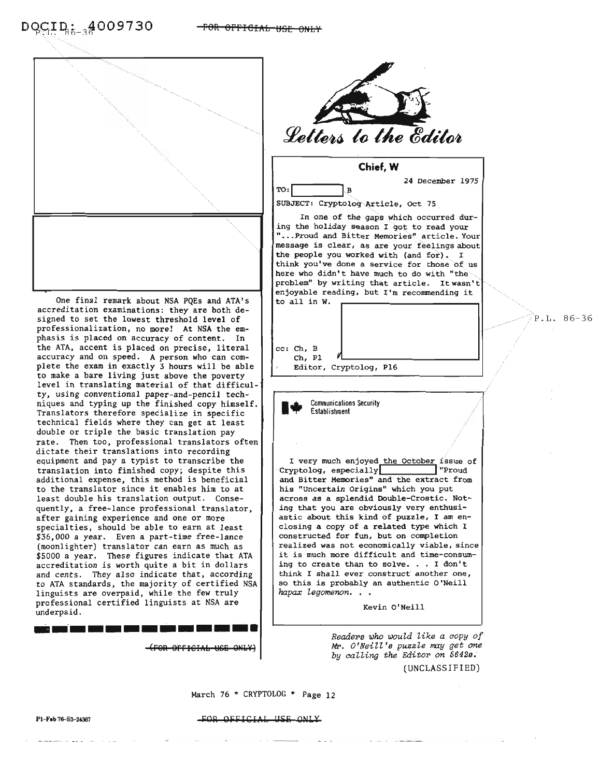

One final remark about NSA PQEs and ATA's accreditation examinations: they are both designed to set the lowest threshold level of professionalization, no more! At NSA the emphasis is placed on accuracy of content. In the ATA, accent is placed on precise, literal accuracy and on speed. <sup>A</sup> person who can com- plete the exam in exactly <sup>3</sup> hours will be able to make a bare living just above the poverty level in translating material of that difficulty, using conventional paper-and-pencil techniques and typing up the finished copy himself. Translators therefore specialize in specific technical fields where they can get at least double or triple the basic translation pay rate. Then too, professional translators often dictate their translations into recording equipment and pay a typist to transcribe the translation into finished copy; despite this additional expense, this method is beneficial to the translator since it enables him to at least double his translation output. Consequently, a free-lance professional translator, after gaining experience and one or more specialties, should be able to earn at least \$36,000 a year. Even a part-time free-lance (moonlighter) translator can earn as much as \$5000 a year. These figures indicate that ATA accreditation is worth quite a bit in dollars and cents. They also indicate that, according to ATA standards, the majority of certified NSA linguists are overpaid, while the few truly professional certified linguists at NSA are underpaid. **--------------**

(FOR OFFICIAL USE ON



*Readers* ~ho *woul.d l.ike a copy of* Mr. O'Neill's puzzle may get one by *calling the Editor on 56428;* (UNCLASSIFIED)

March 76 \* CRYPTOLOG \* Page 12

#### FOR OFFICIAL USE ONLY

P.L. 86-36